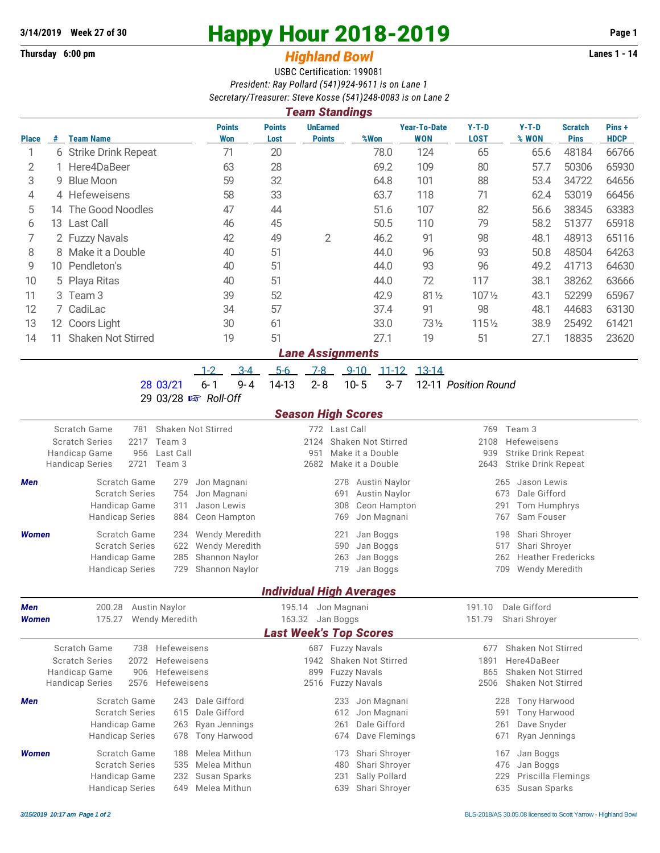## **Thursday 6:00 pm** *Highland Bowl*

## **3/14/2019** Week 27 of 30<br>
Thursday 6:00 pm<br> **Happy Hour 2018-2019 Page 1**<br> **Highland Rowl**

## USBC Certification: 199081 *President: Ray Pollard (541)924-9611 is on Lane 1 Secretary/Treasurer: Steve Kosse (541)248-0083 is on Lane 2*

|              |                                           |                                                                                     |                       |                             |                                           |                                 | <b>Team Standings</b>                                    |                                                       |               |                            |                                   |                                    |                                                          |                  |                               |                      |  |  |  |
|--------------|-------------------------------------------|-------------------------------------------------------------------------------------|-----------------------|-----------------------------|-------------------------------------------|---------------------------------|----------------------------------------------------------|-------------------------------------------------------|---------------|----------------------------|-----------------------------------|------------------------------------|----------------------------------------------------------|------------------|-------------------------------|----------------------|--|--|--|
| <b>Place</b> | #                                         | <b>Team Name</b>                                                                    |                       |                             | <b>Points</b><br>Won                      | <b>Points</b><br>Lost           | <b>UnEarned</b><br><b>Points</b>                         |                                                       | %Won          |                            | <b>Year-To-Date</b><br><b>WON</b> | $Y-T-D$<br><b>LOST</b>             |                                                          | $Y-T-D$<br>% WON | <b>Scratch</b><br><b>Pins</b> | Pins+<br><b>HDCP</b> |  |  |  |
| 1            |                                           | 6 Strike Drink Repeat                                                               |                       |                             | 71                                        | 20                              |                                                          |                                                       |               | 78.0                       | 124                               | 65                                 |                                                          | 65.6             | 48184                         | 66766                |  |  |  |
| 2            | Here4DaBeer                               |                                                                                     |                       | 63                          | 28                                        |                                 |                                                          |                                                       | 69.2          | 109                        | 80                                |                                    | 57.7                                                     | 50306            | 65930                         |                      |  |  |  |
| 3            | 9                                         | <b>Blue Moon</b>                                                                    |                       |                             | 59                                        | 32                              |                                                          |                                                       |               | 64.8                       | 101                               | 88                                 |                                                          | 53.4             | 34722                         | 64656                |  |  |  |
| 4            |                                           | 4 Hefeweisens                                                                       |                       |                             | 58                                        | 33                              |                                                          |                                                       |               | 63.7                       | 118                               | 71                                 |                                                          | 62.4             | 53019                         | 66456                |  |  |  |
| 5            |                                           | The Good Noodles<br>14                                                              |                       | 47                          |                                           | 44                              |                                                          |                                                       | 51.6<br>107   |                            | 82                                |                                    | 56.6                                                     | 38345            | 63383                         |                      |  |  |  |
| 6            | <b>Last Call</b><br>13                    |                                                                                     |                       |                             | 46                                        | 45                              |                                                          |                                                       |               | 50.5                       | 110                               | 79                                 |                                                          | 58.2             | 51377                         | 65918                |  |  |  |
| 7            | 2 Fuzzy Navals                            |                                                                                     |                       |                             | 42                                        | 49                              | $\mathbf{2}$                                             |                                                       | 46.2<br>91    |                            | 98                                |                                    | 48.1                                                     | 48913            | 65116                         |                      |  |  |  |
| 8            | 8 Make it a Double                        |                                                                                     |                       |                             | 40                                        | 51                              |                                                          |                                                       |               | 44.0                       | 96                                | 93                                 |                                                          | 50.8             | 48504                         | 64263                |  |  |  |
| 9            | Pendleton's<br>10                         |                                                                                     |                       |                             | 40                                        | 51                              |                                                          |                                                       |               | 44.0                       | 93                                | 96                                 |                                                          | 49.2             | 41713                         | 64630                |  |  |  |
| 10           | Playa Ritas<br>5                          |                                                                                     |                       |                             | 40                                        | 51                              |                                                          |                                                       | 44.0          | 72                         | 117                               |                                    | 38.1                                                     | 38262            | 63666                         |                      |  |  |  |
| 11           | Team <sub>3</sub><br>3                    |                                                                                     | 39                    |                             | 52                                        |                                 |                                                          |                                                       | 42.9          | 81 1/2                     | 1071/2                            |                                    | 43.1                                                     | 52299            | 65967                         |                      |  |  |  |
| 12           |                                           | 7 CadiLac                                                                           |                       | 34                          |                                           | 57                              |                                                          |                                                       | 37.4          |                            | 91                                | 98                                 |                                                          | 48.1             | 44683                         | 63130                |  |  |  |
| 13           |                                           | 12 Coors Light                                                                      |                       |                             | 30                                        | 61                              |                                                          |                                                       | 33.0          |                            | 731/2                             | 1151/2                             |                                                          | 38.9             | 25492                         | 61421                |  |  |  |
| 14           | 11                                        | <b>Shaken Not Stirred</b>                                                           |                       |                             | 19                                        | 51                              |                                                          |                                                       |               | 27.1                       | 19                                | 51                                 |                                                          | 27.1             | 18835                         | 23620                |  |  |  |
|              |                                           |                                                                                     |                       |                             |                                           |                                 | <b>Lane Assignments</b>                                  |                                                       |               |                            |                                   |                                    |                                                          |                  |                               |                      |  |  |  |
|              |                                           |                                                                                     |                       | $1 - 2$                     | $3 - 4$                                   | $5-6$                           | $7-8$                                                    |                                                       | $9 - 10$      | $11 - 12$                  | 13-14                             |                                    |                                                          |                  |                               |                      |  |  |  |
|              |                                           |                                                                                     | 28 03/21              | $6 - 1$                     | $9 - 4$                                   | 14-13                           | $2 - 8$                                                  |                                                       | $10 - 5$      | $3 - 7$                    |                                   | 12-11 Position Round               |                                                          |                  |                               |                      |  |  |  |
|              |                                           |                                                                                     | 29 03/28 B Roll-Off   |                             |                                           |                                 |                                                          |                                                       |               |                            |                                   |                                    |                                                          |                  |                               |                      |  |  |  |
|              |                                           |                                                                                     |                       |                             |                                           |                                 | <b>Season High Scores</b>                                |                                                       |               |                            |                                   |                                    |                                                          |                  |                               |                      |  |  |  |
|              | Scratch Game<br>Shaken Not Stirred<br>781 |                                                                                     |                       |                             |                                           |                                 | 772 Last Call                                            |                                                       |               |                            |                                   |                                    |                                                          | 769 Team 3       |                               |                      |  |  |  |
|              |                                           | Team 3<br><b>Scratch Series</b><br>2217<br>Handicap Game<br>956<br>Last Call        |                       |                             |                                           |                                 |                                                          | 2124<br>Shaken Not Stirred<br>951<br>Make it a Double |               |                            |                                   |                                    | 2108<br>Hefeweisens<br>939<br><b>Strike Drink Repeat</b> |                  |                               |                      |  |  |  |
|              |                                           | 2721<br><b>Handicap Series</b>                                                      | Team 3                |                             |                                           |                                 | 2682<br>Make it a Double                                 |                                                       |               |                            |                                   | <b>Strike Drink Repeat</b><br>2643 |                                                          |                  |                               |                      |  |  |  |
| Men          |                                           | Scratch Game                                                                        | 279                   | Jon Magnani                 |                                           |                                 | Austin Naylor<br>278                                     |                                                       |               |                            |                                   | Jason Lewis<br>265                 |                                                          |                  |                               |                      |  |  |  |
|              |                                           | <b>Scratch Series</b>                                                               | Jon Magnani           |                             |                                           | <b>Austin Naylor</b><br>691     |                                                          |                                                       |               |                            |                                   | 673<br>Dale Gifford                |                                                          |                  |                               |                      |  |  |  |
|              |                                           | Handicap Game                                                                       | Jason Lewis           |                             |                                           | 308<br>Ceon Hampton<br>291      |                                                          |                                                       |               |                            | Tom Humphrys                      |                                    |                                                          |                  |                               |                      |  |  |  |
|              |                                           | <b>Handicap Series</b><br>884                                                       |                       |                             | Ceon Hampton<br>Jon Magnani<br>769<br>767 |                                 |                                                          |                                                       |               |                            | Sam Fouser                        |                                    |                                                          |                  |                               |                      |  |  |  |
| <b>Women</b> |                                           | Scratch Game                                                                        | 234                   | Wendy Meredith              | 221                                       |                                 |                                                          |                                                       | Jan Boggs     |                            |                                   | Shari Shroyer<br>198               |                                                          |                  |                               |                      |  |  |  |
|              |                                           | <b>Scratch Series</b><br>622                                                        |                       |                             | Wendy Meredith                            |                                 |                                                          | 590<br>Jan Boggs                                      |               |                            |                                   |                                    | 517<br>Shari Shroyer                                     |                  |                               |                      |  |  |  |
|              |                                           | 285<br>Handicap Game                                                                |                       |                             | Shannon Naylor<br>Shannon Naylor          |                                 |                                                          | 263<br>Jan Boggs<br>Jan Boggs                         |               |                            | 262                               |                                    |                                                          |                  | <b>Heather Fredericks</b>     |                      |  |  |  |
|              |                                           | <b>Handicap Series</b>                                                              | 729                   |                             |                                           |                                 |                                                          | 719                                                   |               |                            |                                   |                                    | 709                                                      | Wendy Meredith   |                               |                      |  |  |  |
|              |                                           |                                                                                     |                       |                             |                                           | <b>Individual High Averages</b> |                                                          |                                                       |               |                            |                                   |                                    |                                                          |                  |                               |                      |  |  |  |
| Men          |                                           | 200.28                                                                              | Austin Naylor         |                             |                                           | 195.14                          |                                                          | Jon Magnani                                           |               |                            |                                   | 191.10                             |                                                          | Dale Gifford     |                               |                      |  |  |  |
| <b>Women</b> |                                           | 175.27                                                                              | <b>Wendy Meredith</b> | 163.32                      |                                           |                                 |                                                          | Jan Boggs                                             |               |                            |                                   |                                    | Shari Shroyer<br>151.79                                  |                  |                               |                      |  |  |  |
|              |                                           |                                                                                     |                       |                             |                                           | <b>Last Week's Top Scores</b>   |                                                          |                                                       |               |                            |                                   |                                    |                                                          |                  |                               |                      |  |  |  |
|              |                                           | Scratch Game<br>738                                                                 |                       | 687 Fuzzy Navals            |                                           |                                 |                                                          |                                                       |               | Shaken Not Stirred<br>677  |                                   |                                    |                                                          |                  |                               |                      |  |  |  |
|              |                                           | 2072<br>Hefeweisens<br><b>Scratch Series</b><br>Handicap Game<br>906<br>Hefeweisens |                       |                             |                                           |                                 | 1942<br>Shaken Not Stirred<br><b>Fuzzy Navals</b><br>899 |                                                       |               |                            |                                   |                                    | Here4DaBeer<br>1891<br>Shaken Not Stirred<br>865         |                  |                               |                      |  |  |  |
|              |                                           | 2576<br><b>Handicap Series</b>                                                      |                       | <b>Fuzzy Navals</b><br>2516 |                                           |                                 |                                                          |                                                       |               | 2506<br>Shaken Not Stirred |                                   |                                    |                                                          |                  |                               |                      |  |  |  |
|              |                                           | Scratch Game                                                                        | Hefeweisens<br>243    | Dale Gifford                |                                           |                                 |                                                          |                                                       |               |                            |                                   |                                    |                                                          |                  |                               |                      |  |  |  |
| Men          |                                           | <b>Scratch Series</b>                                                               | Dale Gifford          |                             |                                           |                                 | Jon Magnani<br>233<br>Jon Magnani<br>612                 |                                                       |               |                            |                                   | 228<br>591                         | Tony Harwood<br>Tony Harwood                             |                  |                               |                      |  |  |  |
|              |                                           | 615<br>Handicap Game<br>263                                                         |                       |                             | Ryan Jennings                             | Dale Gifford<br>261             |                                                          |                                                       |               | Dave Snyder<br>261         |                                   |                                    |                                                          |                  |                               |                      |  |  |  |
|              |                                           | <b>Handicap Series</b>                                                              |                       | <b>Tony Harwood</b>         | 674                                       |                                 |                                                          |                                                       | Dave Flemings | Ryan Jennings<br>671       |                                   |                                    |                                                          |                  |                               |                      |  |  |  |
| <b>Women</b> |                                           | Scratch Game<br>188                                                                 |                       |                             | Melea Mithun                              |                                 |                                                          | 173                                                   |               | Shari Shroyer              |                                   |                                    | 167                                                      | Jan Boggs        |                               |                      |  |  |  |
|              |                                           | <b>Scratch Series</b>                                                               | 535                   | Melea Mithun                |                                           |                                 |                                                          |                                                       |               | 480 Shari Shroyer          |                                   | 476 Jan Boggs                      |                                                          |                  |                               |                      |  |  |  |

Handicap Game 232 Susan Sparks 231 Sally Pollard 229 Priscilla Flemings Handicap Series 649 Melea Mithun 639 Shari Shroyer 635 Susan Sparks